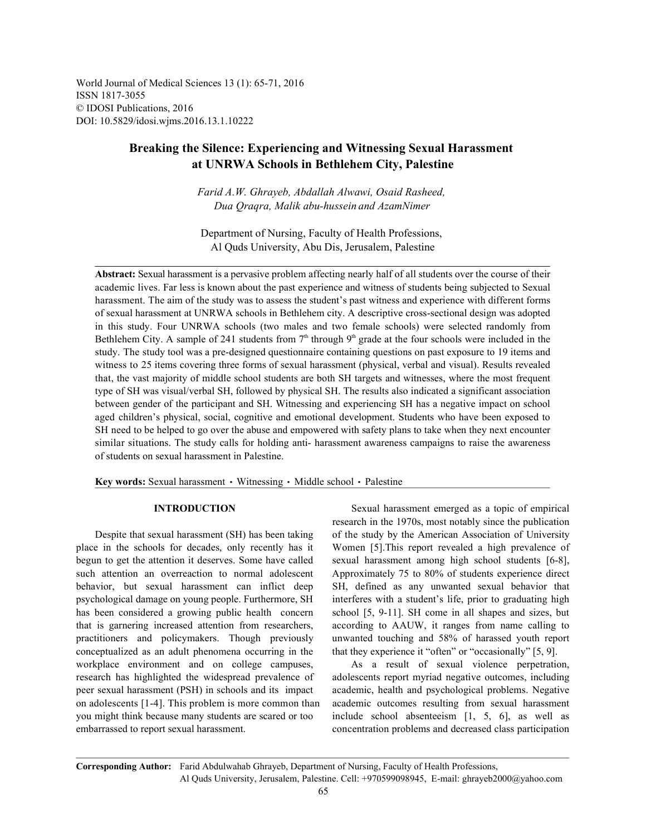World Journal of Medical Sciences 13 (1): 65-71, 2016 ISSN 1817-3055 © IDOSI Publications, 2016 DOI: 10.5829/idosi.wjms.2016.13.1.10222

# **Breaking the Silence: Experiencing and Witnessing Sexual Harassment at UNRWA Schools in Bethlehem City, Palestine**

*Farid A.W. Ghrayeb, Abdallah Alwawi, Osaid Rasheed, Dua Qraqra, Malik abu-hussein and AzamNimer*

Department of Nursing, Faculty of Health Professions, Al Quds University, Abu Dis, Jerusalem, Palestine

**Abstract:** Sexual harassment is a pervasive problem affecting nearly half of all students over the course of their academic lives. Far less is known about the past experience and witness of students being subjected to Sexual harassment. The aim of the study was to assess the student's past witness and experience with different forms of sexual harassment at UNRWA schools in Bethlehem city. A descriptive cross-sectional design was adopted in this study. Four UNRWA schools (two males and two female schools) were selected randomly from Bethlehem City. A sample of 241 students from  $7<sup>th</sup>$  through  $9<sup>th</sup>$  grade at the four schools were included in the study. The study tool was a pre-designed questionnaire containing questions on past exposure to 19 items and witness to 25 items covering three forms of sexual harassment (physical, verbal and visual). Results revealed that, the vast majority of middle school students are both SH targets and witnesses, where the most frequent type of SH was visual/verbal SH, followed by physical SH. The results also indicated a significant association between gender of the participant and SH. Witnessing and experiencing SH has a negative impact on school aged children's physical, social, cognitive and emotional development. Students who have been exposed to SH need to be helped to go over the abuse and empowered with safety plans to take when they next encounter similar situations. The study calls for holding anti- harassment awareness campaigns to raise the awareness of students on sexual harassment in Palestine.

Key words: Sexual harassment · Witnessing · Middle school · Palestine

place in the schools for decades, only recently has it Women [5].This report revealed a high prevalence of begun to get the attention it deserves. Some have called sexual harassment among high school students [6-8], such attention an overreaction to normal adolescent Approximately 75 to 80% of students experience direct behavior, but sexual harassment can inflict deep SH, defined as any unwanted sexual behavior that psychological damage on young people. Furthermore, SH interferes with a student's life, prior to graduating high has been considered a growing public health concern school [5, 9-11]. SH come in all shapes and sizes, but that is garnering increased attention from researchers, according to AAUW, it ranges from name calling to practitioners and policymakers. Though previously unwanted touching and 58% of harassed youth report conceptualized as an adult phenomena occurring in the that they experience it "often" or "occasionally" [5, 9]. workplace environment and on college campuses, As a result of sexual violence perpetration, research has highlighted the widespread prevalence of adolescents report myriad negative outcomes, including peer sexual harassment (PSH) in schools and its impact academic, health and psychological problems. Negative on adolescents [1-4]. This problem is more common than academic outcomes resulting from sexual harassment you might think because many students are scared or too include school absenteeism [1, 5, 6], as well as embarrassed to report sexual harassment. concentration problems and decreased class participation

**INTRODUCTION** Sexual harassment emerged as a topic of empirical Despite that sexual harassment (SH) has been taking of the study by the American Association of University research in the 1970s, most notably since the publication

**Corresponding Author:** Farid Abdulwahab Ghrayeb, Department of Nursing, Faculty of Health Professions, Al Quds University, Jerusalem, Palestine. Cell: +970599098945, E-mail: ghrayeb2000@yahoo.com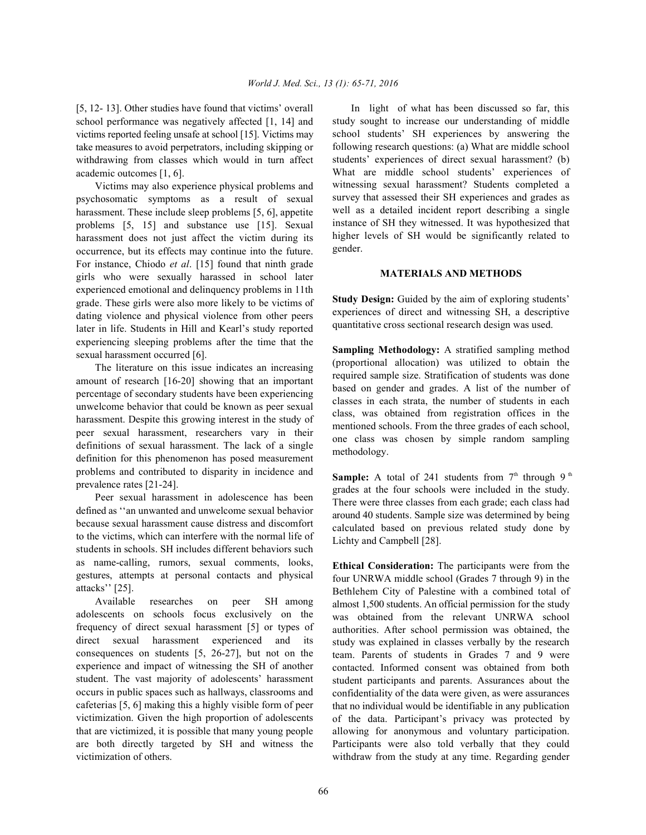school performance was negatively affected [1, 14] and victims reported feeling unsafe at school [15]. Victims may take measures to avoid perpetrators, including skipping or withdrawing from classes which would in turn affect academic outcomes [1, 6].

Victims may also experience physical problems and psychosomatic symptoms as a result of sexual harassment. These include sleep problems [5, 6], appetite problems [5, 15] and substance use [15]. Sexual harassment does not just affect the victim during its occurrence, but its effects may continue into the future. For instance, Chiodo *et al*. [15] found that ninth grade girls who were sexually harassed in school later experienced emotional and delinquency problems in 11th grade. These girls were also more likely to be victims of dating violence and physical violence from other peers later in life. Students in Hill and Kearl's study reported experiencing sleeping problems after the time that the sexual harassment occurred [6].

The literature on this issue indicates an increasing amount of research [16-20] showing that an important percentage of secondary students have been experiencing unwelcome behavior that could be known as peer sexual harassment. Despite this growing interest in the study of peer sexual harassment, researchers vary in their definitions of sexual harassment. The lack of a single definition for this phenomenon has posed measurement problems and contributed to disparity in incidence and prevalence rates [21-24].

Peer sexual harassment in adolescence has been defined as ''an unwanted and unwelcome sexual behavior because sexual harassment cause distress and discomfort to the victims, which can interfere with the normal life of students in schools. SH includes different behaviors such as name-calling, rumors, sexual comments, looks, gestures, attempts at personal contacts and physical attacks'' [25].

Available researches on peer SH among adolescents on schools focus exclusively on the frequency of direct sexual harassment [5] or types of direct sexual harassment experienced and its consequences on students [5, 26-27], but not on the experience and impact of witnessing the SH of another student. The vast majority of adolescents' harassment occurs in public spaces such as hallways, classrooms and cafeterias [5, 6] making this a highly visible form of peer victimization. Given the high proportion of adolescents that are victimized, it is possible that many young people are both directly targeted by SH and witness the victimization of others.

[5, 12- 13]. Other studies have found that victims' overall In light of what has been discussed so far, this study sought to increase our understanding of middle school students' SH experiences by answering the following research questions: (a) What are middle school students' experiences of direct sexual harassment? (b) What are middle school students' experiences of witnessing sexual harassment? Students completed a survey that assessed their SH experiences and grades as well as a detailed incident report describing a single instance of SH they witnessed. It was hypothesized that higher levels of SH would be significantly related to gender.

## **MATERIALS AND METHODS**

**Study Design:** Guided by the aim of exploring students' experiences of direct and witnessing SH, a descriptive quantitative cross sectional research design was used.

**Sampling Methodology:** A stratified sampling method (proportional allocation) was utilized to obtain the required sample size. Stratification of students was done based on gender and grades. A list of the number of classes in each strata, the number of students in each class, was obtained from registration offices in the mentioned schools. From the three grades of each school, one class was chosen by simple random sampling methodology.

**Sample:** A total of 241 students from  $7<sup>th</sup>$  through 9<sup>th</sup> grades at the four schools were included in the study. There were three classes from each grade; each class had around 40 students. Sample size was determined by being calculated based on previous related study done by Lichty and Campbell [28].

**Ethical Consideration:** The participants were from the four UNRWA middle school (Grades 7 through 9) in the Bethlehem City of Palestine with a combined total of almost 1,500 students. An official permission for the study was obtained from the relevant UNRWA school authorities. After school permission was obtained, the study was explained in classes verbally by the research team. Parents of students in Grades 7 and 9 were contacted. Informed consent was obtained from both student participants and parents. Assurances about the confidentiality of the data were given, as were assurances that no individual would be identifiable in any publication of the data. Participant's privacy was protected by allowing for anonymous and voluntary participation. Participants were also told verbally that they could withdraw from the study at any time. Regarding gender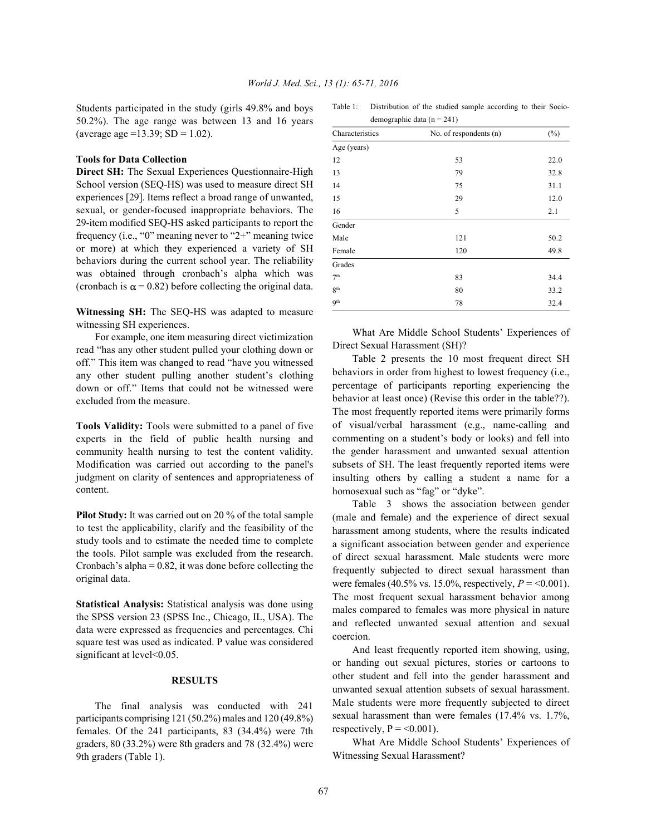Students participated in the study (girls 49.8% and boys 50.2%). The age range was between 13 and 16 years (average age =13.39;  $SD = 1.02$ ).

### **Tools for Data Collection**

**Direct SH:** The Sexual Experiences Questionnaire-High School version (SEQ-HS) was used to measure direct SH experiences [29]. Items reflect a broad range of unwanted, sexual, or gender-focused inappropriate behaviors. The 29-item modified SEQ-HS asked participants to report the frequency (i.e., "0" meaning never to "2+" meaning twice or more) at which they experienced a variety of SH behaviors during the current school year. The reliability was obtained through cronbach's alpha which was (cronbach is  $\alpha$  = 0.82) before collecting the original data.

**Witnessing SH:** The SEQ-HS was adapted to measure witnessing SH experiences.

For example, one item measuring direct victimization read "has any other student pulled your clothing down or off." This item was changed to read "have you witnessed any other student pulling another student's clothing down or off." Items that could not be witnessed were excluded from the measure.

**Tools Validity:** Tools were submitted to a panel of five experts in the field of public health nursing and community health nursing to test the content validity. Modification was carried out according to the panel's judgment on clarity of sentences and appropriateness of content.

**Pilot Study:** It was carried out on 20 % of the total sample to test the applicability, clarify and the feasibility of the study tools and to estimate the needed time to complete the tools. Pilot sample was excluded from the research. Cronbach's alpha  $= 0.82$ , it was done before collecting the original data.

**Statistical Analysis:** Statistical analysis was done using the SPSS version 23 (SPSS Inc., Chicago, IL, USA). The data were expressed as frequencies and percentages. Chi square test was used as indicated. P value was considered significant at level<0.05.

### **RESULTS**

The final analysis was conducted with 241 participants comprising 121 (50.2%) males and 120 (49.8%) females. Of the 241 participants, 83 (34.4%) were 7th graders, 80 (33.2%) were 8th graders and 78 (32.4%) were 9th graders (Table 1).

| Table 1: | Distribution of the studied sample according to their Socio- |  |  |  |  |
|----------|--------------------------------------------------------------|--|--|--|--|
|          | demographic data ( $n = 241$ )                               |  |  |  |  |

| Characteristics | No. of respondents (n) | $(\%)$ |  |
|-----------------|------------------------|--------|--|
| Age (years)     |                        |        |  |
| 12              | 53                     | 22.0   |  |
| 13              | 79                     | 32.8   |  |
| 14              | 75                     | 31.1   |  |
| 15              | 29                     | 12.0   |  |
| 16              | 5                      | 2.1    |  |
| Gender          |                        |        |  |
| Male            | 121                    | 50.2   |  |
| Female          | 120                    | 49.8   |  |
| Grades          |                        |        |  |
| 7 <sup>th</sup> | 83                     | 34.4   |  |
| 8 <sup>th</sup> | 80                     | 33.2   |  |
| 9 <sup>th</sup> | 78                     | 32.4   |  |

What Are Middle School Students' Experiences of Direct Sexual Harassment (SH)?

Table 2 presents the 10 most frequent direct SH behaviors in order from highest to lowest frequency (i.e., percentage of participants reporting experiencing the behavior at least once) (Revise this order in the table??). The most frequently reported items were primarily forms of visual/verbal harassment (e.g., name-calling and commenting on a student's body or looks) and fell into the gender harassment and unwanted sexual attention subsets of SH. The least frequently reported items were insulting others by calling a student a name for a homosexual such as "fag" or "dyke".

Table 3 shows the association between gender (male and female) and the experience of direct sexual harassment among students, where the results indicated a significant association between gender and experience of direct sexual harassment. Male students were more frequently subjected to direct sexual harassment than were females (40.5% vs. 15.0%, respectively,  $P = 0.001$ ). The most frequent sexual harassment behavior among males compared to females was more physical in nature and reflected unwanted sexual attention and sexual coercion.

And least frequently reported item showing, using, or handing out sexual pictures, stories or cartoons to other student and fell into the gender harassment and unwanted sexual attention subsets of sexual harassment. Male students were more frequently subjected to direct sexual harassment than were females (17.4% vs. 1.7%, respectively,  $P = 0.001$ .

What Are Middle School Students' Experiences of Witnessing Sexual Harassment?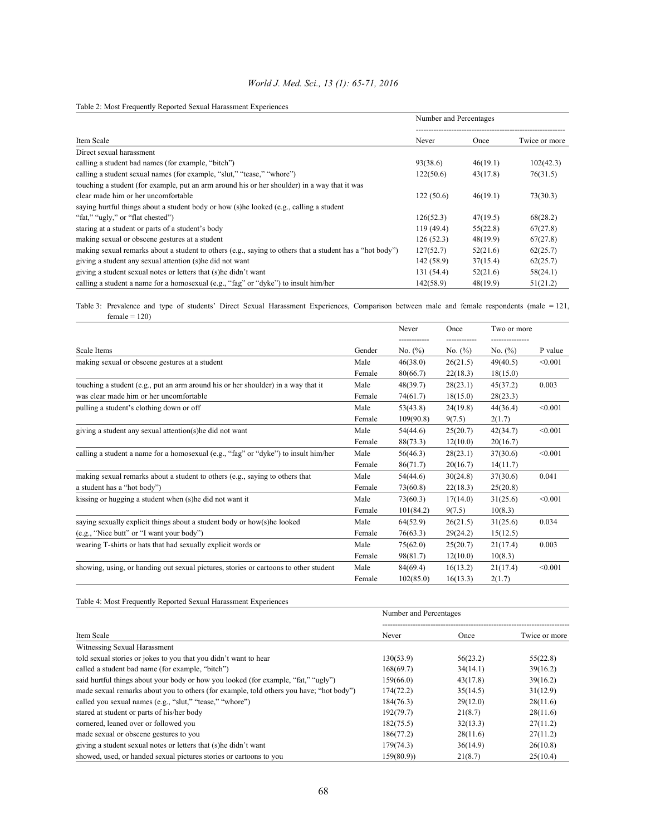| World J. Med. Sci., 13 (1): 65-71, 2016 |  |  |  |
|-----------------------------------------|--|--|--|
|-----------------------------------------|--|--|--|

Table 2: Most Frequently Reported Sexual Harassment Experiences

|                                                                                                          | Number and Percentages |          |               |  |
|----------------------------------------------------------------------------------------------------------|------------------------|----------|---------------|--|
| Item Scale                                                                                               | Never                  | Once     | Twice or more |  |
| Direct sexual harassment                                                                                 |                        |          |               |  |
| calling a student bad names (for example, "bitch")                                                       | 93(38.6)               | 46(19.1) | 102(42.3)     |  |
| calling a student sexual names (for example, "slut," "tease," "whore")                                   | 122(50.6)              | 43(17.8) | 76(31.5)      |  |
| touching a student (for example, put an arm around his or her shoulder) in a way that it was             |                        |          |               |  |
| clear made him or her uncomfortable                                                                      | 122(50.6)              | 46(19.1) | 73(30.3)      |  |
| saying hurtful things about a student body or how (s)he looked (e.g., calling a student                  |                        |          |               |  |
| "fat," "ugly," or "flat chested")                                                                        | 126(52.3)              | 47(19.5) | 68(28.2)      |  |
| staring at a student or parts of a student's body                                                        | 119(49.4)              | 55(22.8) | 67(27.8)      |  |
| making sexual or obscene gestures at a student                                                           | 126(52.3)              | 48(19.9) | 67(27.8)      |  |
| making sexual remarks about a student to others (e.g., saying to others that a student has a "hot body") | 127(52.7)              | 52(21.6) | 62(25.7)      |  |
| giving a student any sexual attention (s) he did not want                                                | 142 (58.9)             | 37(15.4) | 62(25.7)      |  |
| giving a student sexual notes or letters that (s) he didn't want                                         | 131 (54.4)             | 52(21.6) | 58(24.1)      |  |
| calling a student a name for a homosexual (e.g., "fag" or "dyke") to insult him/her                      | 142(58.9)              | 48(19.9) | 51(21.2)      |  |

Table 3: Prevalence and type of students' Direct Sexual Harassment Experiences, Comparison between male and female respondents (male = 121,  $female = 120$ )

|                                                                                      |        | Never      | Once       | Two or more |         |
|--------------------------------------------------------------------------------------|--------|------------|------------|-------------|---------|
| Scale Items                                                                          | Gender | No. $(\%)$ | No. $(\%)$ | No. $(\% )$ | P value |
| making sexual or obscene gestures at a student                                       | Male   | 46(38.0)   | 26(21.5)   | 49(40.5)    | < 0.001 |
|                                                                                      | Female | 80(66.7)   | 22(18.3)   | 18(15.0)    |         |
| touching a student (e.g., put an arm around his or her shoulder) in a way that it    | Male   | 48(39.7)   | 28(23.1)   | 45(37.2)    | 0.003   |
| was clear made him or her uncomfortable                                              | Female | 74(61.7)   | 18(15.0)   | 28(23.3)    |         |
| pulling a student's clothing down or off                                             | Male   | 53(43.8)   | 24(19.8)   | 44(36.4)    | < 0.001 |
|                                                                                      | Female | 109(90.8)  | 9(7.5)     | 2(1.7)      |         |
| giving a student any sexual attention(s) he did not want                             | Male   | 54(44.6)   | 25(20.7)   | 42(34.7)    | < 0.001 |
|                                                                                      | Female | 88(73.3)   | 12(10.0)   | 20(16.7)    |         |
| calling a student a name for a homosexual (e.g., "fag" or "dyke") to insult him/her  | Male   | 56(46.3)   | 28(23.1)   | 37(30.6)    | < 0.001 |
|                                                                                      | Female | 86(71.7)   | 20(16.7)   | 14(11.7)    |         |
| making sexual remarks about a student to others (e.g., saying to others that         | Male   | 54(44.6)   | 30(24.8)   | 37(30.6)    | 0.041   |
| a student has a "hot body")                                                          | Female | 73(60.8)   | 22(18.3)   | 25(20.8)    |         |
| kissing or hugging a student when (s) he did not want it                             | Male   | 73(60.3)   | 17(14.0)   | 31(25.6)    | < 0.001 |
|                                                                                      | Female | 101(84.2)  | 9(7.5)     | 10(8.3)     |         |
| saying sexually explicit things about a student body or how(s)he looked              | Male   | 64(52.9)   | 26(21.5)   | 31(25.6)    | 0.034   |
| (e.g., "Nice butt" or "I want your body")                                            | Female | 76(63.3)   | 29(24.2)   | 15(12.5)    |         |
| wearing T-shirts or hats that had sexually explicit words or                         | Male   | 75(62.0)   | 25(20.7)   | 21(17.4)    | 0.003   |
|                                                                                      | Female | 98(81.7)   | 12(10.0)   | 10(8.3)     |         |
| showing, using, or handing out sexual pictures, stories or cartoons to other student | Male   | 84(69.4)   | 16(13.2)   | 21(17.4)    | < 0.001 |
|                                                                                      | Female | 102(85.0)  | 16(13.3)   | 2(1.7)      |         |

Table 4: Most Frequently Reported Sexual Harassment Experiences

|                                                                                         | Number and Percentages |          |               |  |
|-----------------------------------------------------------------------------------------|------------------------|----------|---------------|--|
| Item Scale                                                                              | Never                  | Once     | Twice or more |  |
| Witnessing Sexual Harassment                                                            |                        |          |               |  |
| told sexual stories or jokes to you that you didn't want to hear                        | 130(53.9)              | 56(23.2) | 55(22.8)      |  |
| called a student bad name (for example, "bitch")                                        | 168(69.7)              | 34(14.1) | 39(16.2)      |  |
| said hurtful things about your body or how you looked (for example, "fat," "ugly")      | 159(66.0)              | 43(17.8) | 39(16.2)      |  |
| made sexual remarks about you to others (for example, told others you have; "hot body") | 174(72.2)              | 35(14.5) | 31(12.9)      |  |
| called you sexual names (e.g., "slut," "tease," "whore")                                | 184(76.3)              | 29(12.0) | 28(11.6)      |  |
| stared at student or parts of his/her body                                              | 192(79.7)              | 21(8.7)  | 28(11.6)      |  |
| cornered, leaned over or followed you                                                   | 182(75.5)              | 32(13.3) | 27(11.2)      |  |
| made sexual or obscene gestures to you                                                  | 186(77.2)              | 28(11.6) | 27(11.2)      |  |
| giving a student sexual notes or letters that (s) he didn't want                        | 179(74.3)              | 36(14.9) | 26(10.8)      |  |
| showed, used, or handed sexual pictures stories or cartoons to you                      | 159(80.9))             | 21(8.7)  | 25(10.4)      |  |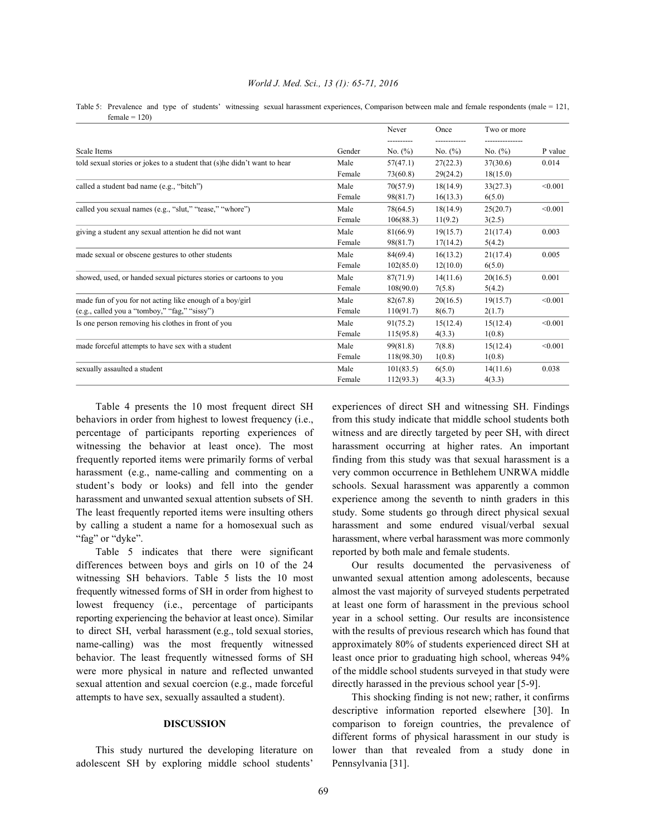Table 5: Prevalence and type of students' witnessing sexual harassment experiences, Comparison between male and female respondents (male = 121,  $female = 120$ 

|                                                                          |        | Never       | Once       | Two or more |         |
|--------------------------------------------------------------------------|--------|-------------|------------|-------------|---------|
| Scale Items                                                              | Gender | No. $(\% )$ | No. $(\%)$ | No. $(\%)$  | P value |
| told sexual stories or jokes to a student that (s)he didn't want to hear | Male   | 57(47.1)    | 27(22.3)   | 37(30.6)    | 0.014   |
|                                                                          | Female | 73(60.8)    | 29(24.2)   | 18(15.0)    |         |
| called a student bad name (e.g., "bitch")                                | Male   | 70(57.9)    | 18(14.9)   | 33(27.3)    | < 0.001 |
|                                                                          | Female | 98(81.7)    | 16(13.3)   | 6(5.0)      |         |
| called you sexual names (e.g., "slut," "tease," "whore")                 | Male   | 78(64.5)    | 18(14.9)   | 25(20.7)    | < 0.001 |
|                                                                          | Female | 106(88.3)   | 11(9.2)    | 3(2.5)      |         |
| giving a student any sexual attention he did not want                    | Male   | 81(66.9)    | 19(15.7)   | 21(17.4)    | 0.003   |
|                                                                          | Female | 98(81.7)    | 17(14.2)   | 5(4.2)      |         |
| made sexual or obscene gestures to other students                        | Male   | 84(69.4)    | 16(13.2)   | 21(17.4)    | 0.005   |
|                                                                          | Female | 102(85.0)   | 12(10.0)   | 6(5.0)      |         |
| showed, used, or handed sexual pictures stories or cartoons to you       | Male   | 87(71.9)    | 14(11.6)   | 20(16.5)    | 0.001   |
|                                                                          | Female | 108(90.0)   | 7(5.8)     | 5(4.2)      |         |
| made fun of you for not acting like enough of a boy/girl                 | Male   | 82(67.8)    | 20(16.5)   | 19(15.7)    | < 0.001 |
| (e.g., called you a "tomboy," "fag," "sissy")                            | Female | 110(91.7)   | 8(6.7)     | 2(1.7)      |         |
| Is one person removing his clothes in front of you                       | Male   | 91(75.2)    | 15(12.4)   | 15(12.4)    | < 0.001 |
|                                                                          | Female | 115(95.8)   | 4(3.3)     | 1(0.8)      |         |
| made forceful attempts to have sex with a student                        | Male   | 99(81.8)    | 7(8.8)     | 15(12.4)    | < 0.001 |
|                                                                          | Female | 118(98.30)  | 1(0.8)     | 1(0.8)      |         |
| sexually assaulted a student                                             | Male   | 101(83.5)   | 6(5.0)     | 14(11.6)    | 0.038   |
|                                                                          | Female | 112(93.3)   | 4(3.3)     | 4(3.3)      |         |
|                                                                          |        |             |            |             |         |

Table 4 presents the 10 most frequent direct SH experiences of direct SH and witnessing SH. Findings behaviors in order from highest to lowest frequency (i.e., from this study indicate that middle school students both percentage of participants reporting experiences of witness and are directly targeted by peer SH, with direct witnessing the behavior at least once). The most harassment occurring at higher rates. An important frequently reported items were primarily forms of verbal finding from this study was that sexual harassment is a harassment (e.g., name-calling and commenting on a very common occurrence in Bethlehem UNRWA middle student's body or looks) and fell into the gender schools. Sexual harassment was apparently a common harassment and unwanted sexual attention subsets of SH. experience among the seventh to ninth graders in this The least frequently reported items were insulting others study. Some students go through direct physical sexual by calling a student a name for a homosexual such as harassment and some endured visual/verbal sexual "fag" or "dyke". harassment, where verbal harassment was more commonly

Table 5 indicates that there were significant reported by both male and female students. differences between boys and girls on 10 of the 24 Our results documented the pervasiveness of witnessing SH behaviors. Table 5 lists the 10 most unwanted sexual attention among adolescents, because frequently witnessed forms of SH in order from highest to almost the vast majority of surveyed students perpetrated lowest frequency (i.e., percentage of participants at least one form of harassment in the previous school reporting experiencing the behavior at least once). Similar year in a school setting. Our results are inconsistence to direct SH, verbal harassment (e.g., told sexual stories, with the results of previous research which has found that name-calling) was the most frequently witnessed approximately 80% of students experienced direct SH at behavior. The least frequently witnessed forms of SH least once prior to graduating high school, whereas 94% were more physical in nature and reflected unwanted of the middle school students surveyed in that study were sexual attention and sexual coercion (e.g., made forceful directly harassed in the previous school year [5-9]. attempts to have sex, sexually assaulted a student). This shocking finding is not new; rather, it confirms

adolescent SH by exploring middle school students' Pennsylvania [31].

**DISCUSSION** comparison to foreign countries, the prevalence of This study nurtured the developing literature on lower than that revealed from a study done in descriptive information reported elsewhere [30]. In different forms of physical harassment in our study is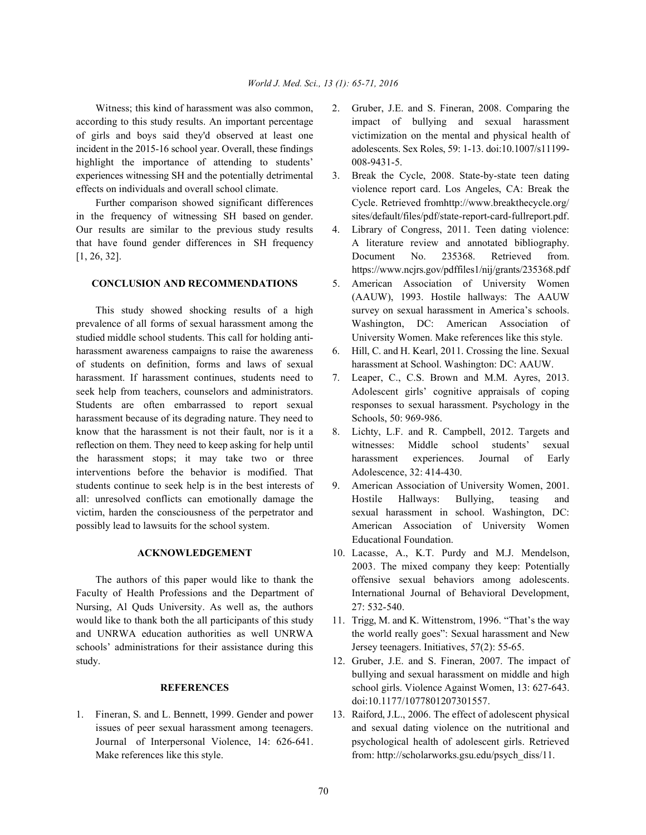according to this study results. An important percentage impact of bullying and sexual harassment of girls and boys said they'd observed at least one victimization on the mental and physical health of incident in the 2015-16 school year. Overall, these findings adolescents. Sex Roles, 59: 1-13. doi:10.1007/s11199 highlight the importance of attending to students' 008-9431-5. experiences witnessing SH and the potentially detrimental 3. Break the Cycle, 2008. State-by-state teen dating effects on individuals and overall school climate. violence report card. Los Angeles, CA: Break the

in the frequency of witnessing SH based on gender. sites/default/files/pdf/state-report-card-fullreport.pdf. Our results are similar to the previous study results 4. Library of Congress, 2011. Teen dating violence:

### **CONCLUSION AND RECOMMENDATIONS** 5. American Association of University Women

studied middle school students. This call for holding anti- University Women. Make references like this style. harassment awareness campaigns to raise the awareness 6. Hill, C. and H. Kearl, 2011. Crossing the line. Sexual of students on definition, forms and laws of sexual harassment at School. Washington: DC: AAUW. harassment. If harassment continues, students need to 7. Leaper, C., C.S. Brown and M.M. Ayres, 2013. seek help from teachers, counselors and administrators. Adolescent girls' cognitive appraisals of coping Students are often embarrassed to report sexual responses to sexual harassment. Psychology in the harassment because of its degrading nature. They need to Schools, 50: 969-986. know that the harassment is not their fault, nor is it a 8. Lichty, L.F. and R. Campbell, 2012. Targets and reflection on them. They need to keep asking for help until witnesses: Middle school students' sexual the harassment stops; it may take two or three harassment experiences. Journal of Early interventions before the behavior is modified. That Adolescence, 32: 414-430. students continue to seek help is in the best interests of 9. American Association of University Women, 2001. all: unresolved conflicts can emotionally damage the Hostile Hallways: Bullying, teasing and victim, harden the consciousness of the perpetrator and sexual harassment in school. Washington, DC: possibly lead to lawsuits for the school system. American Association of University Women

Faculty of Health Professions and the Department of International Journal of Behavioral Development, Nursing, Al Quds University. As well as, the authors 27: 532-540. would like to thank both the all participants of this study 11. Trigg, M. and K. Wittenstrom, 1996. "That's the way and UNRWA education authorities as well UNRWA the world really goes": Sexual harassment and New schools' administrations for their assistance during this Jersey teenagers. Initiatives, 57(2): 55-65. study. 12. Gruber, J.E. and S. Fineran, 2007. The impact of

- Witness; this kind of harassment was also common, 2. Gruber, J.E. and S. Fineran, 2008. Comparing the
- Further comparison showed significant differences Cycle. Retrieved from http://www.breakthecycle.org/
- that have found gender differences in SH frequency A literature review and annotated bibliography. [1, 26, 32]. Document No. 235368. Retrieved from. https://www.ncjrs.gov/pdffiles1/nij/grants/235368.pdf
- This study showed shocking results of a high survey on sexual harassment in America's schools. prevalence of all forms of sexual harassment among the Washington, DC: American Association of (AAUW), 1993. Hostile hallways: The AAUW
	-
	-
	-
	- Educational Foundation.
	- **ACKNOWLEDGEMENT** 10. Lacasse, A., K.T. Purdy and M.J. Mendelson, The authors of this paper would like to thank the offensive sexual behaviors among adolescents. 2003. The mixed company they keep: Potentially
		-
		- **REFERENCES** school girls. Violence Against Women, 13: 627-643. bullying and sexual harassment on middle and high doi:10.1177/1077801207301557.
- 1. Fineran, S. and L. Bennett, 1999. Gender and power 13. Raiford, J.L., 2006. The effect of adolescent physical issues of peer sexual harassment among teenagers. and sexual dating violence on the nutritional and Journal of Interpersonal Violence, 14: 626-641. psychological health of adolescent girls. Retrieved Make references like this style. from: http://scholarworks.gsu.edu/psych\_diss/11.